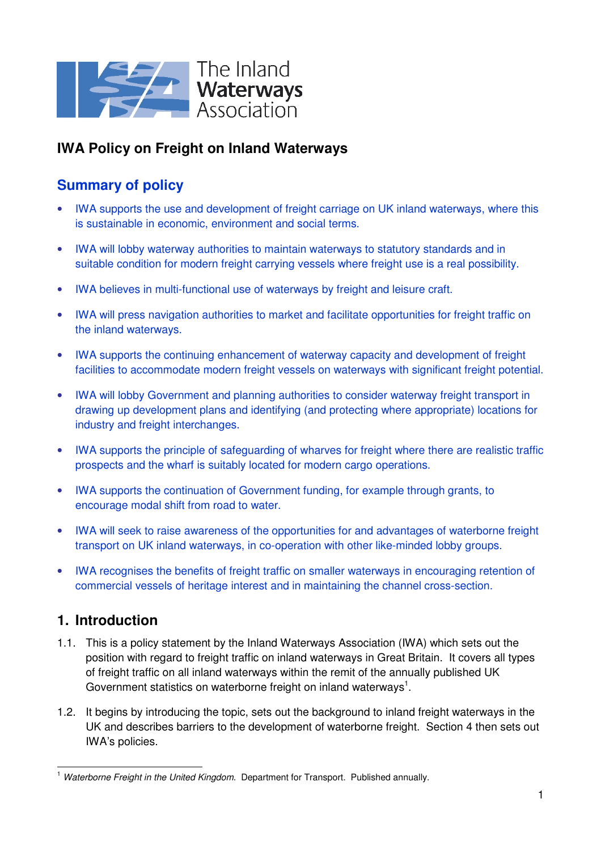

# **IWA Policy on Freight on Inland Waterways**

# **Summary of policy**

- IWA supports the use and development of freight carriage on UK inland waterways, where this is sustainable in economic, environment and social terms.
- IWA will lobby waterway authorities to maintain waterways to statutory standards and in suitable condition for modern freight carrying vessels where freight use is a real possibility.
- IWA believes in multi-functional use of waterways by freight and leisure craft.
- IWA will press navigation authorities to market and facilitate opportunities for freight traffic on the inland waterways.
- IWA supports the continuing enhancement of waterway capacity and development of freight facilities to accommodate modern freight vessels on waterways with significant freight potential.
- IWA will lobby Government and planning authorities to consider waterway freight transport in drawing up development plans and identifying (and protecting where appropriate) locations for industry and freight interchanges.
- IWA supports the principle of safeguarding of wharves for freight where there are realistic traffic prospects and the wharf is suitably located for modern cargo operations.
- IWA supports the continuation of Government funding, for example through grants, to encourage modal shift from road to water.
- IWA will seek to raise awareness of the opportunities for and advantages of waterborne freight transport on UK inland waterways, in co-operation with other like-minded lobby groups.
- IWA recognises the benefits of freight traffic on smaller waterways in encouraging retention of commercial vessels of heritage interest and in maintaining the channel cross-section.

# **1. Introduction**

- 1.1. This is a policy statement by the Inland Waterways Association (IWA) which sets out the position with regard to freight traffic on inland waterways in Great Britain. It covers all types of freight traffic on all inland waterways within the remit of the annually published UK Government statistics on waterborne freight on inland waterways<sup>1</sup>.
- 1.2. It begins by introducing the topic, sets out the background to inland freight waterways in the UK and describes barriers to the development of waterborne freight. Section 4 then sets out IWA's policies.

 $\overline{a}$ <sup>1</sup> Waterborne Freight in the United Kingdom. Department for Transport. Published annually.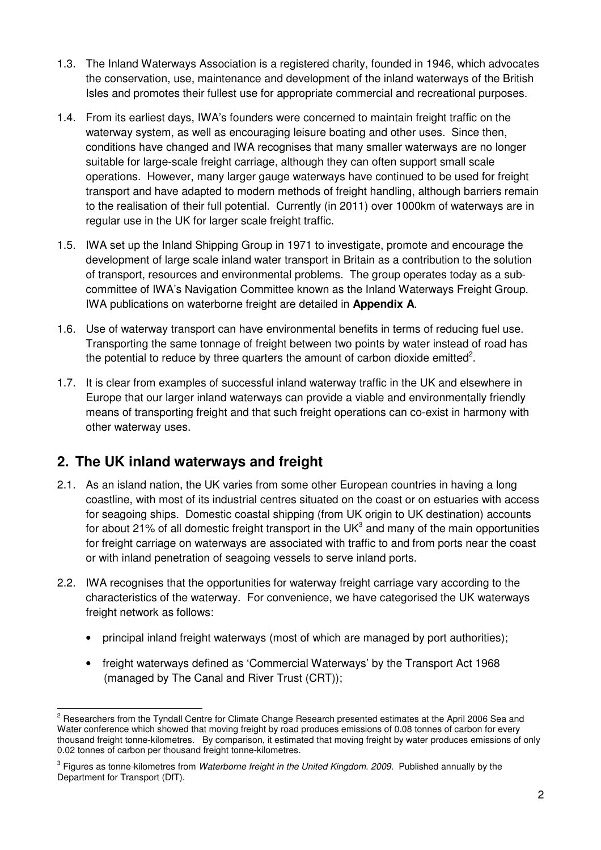- 1.3. The Inland Waterways Association is a registered charity, founded in 1946, which advocates the conservation, use, maintenance and development of the inland waterways of the British Isles and promotes their fullest use for appropriate commercial and recreational purposes.
- 1.4. From its earliest days, IWA's founders were concerned to maintain freight traffic on the waterway system, as well as encouraging leisure boating and other uses. Since then, conditions have changed and IWA recognises that many smaller waterways are no longer suitable for large-scale freight carriage, although they can often support small scale operations. However, many larger gauge waterways have continued to be used for freight transport and have adapted to modern methods of freight handling, although barriers remain to the realisation of their full potential. Currently (in 2011) over 1000km of waterways are in regular use in the UK for larger scale freight traffic.
- 1.5. IWA set up the Inland Shipping Group in 1971 to investigate, promote and encourage the development of large scale inland water transport in Britain as a contribution to the solution of transport, resources and environmental problems. The group operates today as a subcommittee of IWA's Navigation Committee known as the Inland Waterways Freight Group. IWA publications on waterborne freight are detailed in **Appendix A**.
- 1.6. Use of waterway transport can have environmental benefits in terms of reducing fuel use. Transporting the same tonnage of freight between two points by water instead of road has the potential to reduce by three quarters the amount of carbon dioxide emitted<sup>2</sup>.
- 1.7. It is clear from examples of successful inland waterway traffic in the UK and elsewhere in Europe that our larger inland waterways can provide a viable and environmentally friendly means of transporting freight and that such freight operations can co-exist in harmony with other waterway uses.

## **2. The UK inland waterways and freight**

- 2.1. As an island nation, the UK varies from some other European countries in having a long coastline, with most of its industrial centres situated on the coast or on estuaries with access for seagoing ships. Domestic coastal shipping (from UK origin to UK destination) accounts for about 21% of all domestic freight transport in the UK<sup>3</sup> and many of the main opportunities for freight carriage on waterways are associated with traffic to and from ports near the coast or with inland penetration of seagoing vessels to serve inland ports.
- 2.2. IWA recognises that the opportunities for waterway freight carriage vary according to the characteristics of the waterway. For convenience, we have categorised the UK waterways freight network as follows:
	- principal inland freight waterways (most of which are managed by port authorities);
	- freight waterways defined as 'Commercial Waterways' by the Transport Act 1968 (managed by The Canal and River Trust (CRT));

<sup>&</sup>lt;u>2</u><br><sup>2</sup> Researchers from the Tyndall Centre for Climate Change Research presented estimates at the April 2006 Sea and Water conference which showed that moving freight by road produces emissions of 0.08 tonnes of carbon for every thousand freight tonne-kilometres. By comparison, it estimated that moving freight by water produces emissions of only 0.02 tonnes of carbon per thousand freight tonne-kilometres.

 $^3$  Figures as tonne-kilometres from *Waterborne freight in the United Kingdom. 2009*. Published annually by the Department for Transport (DfT).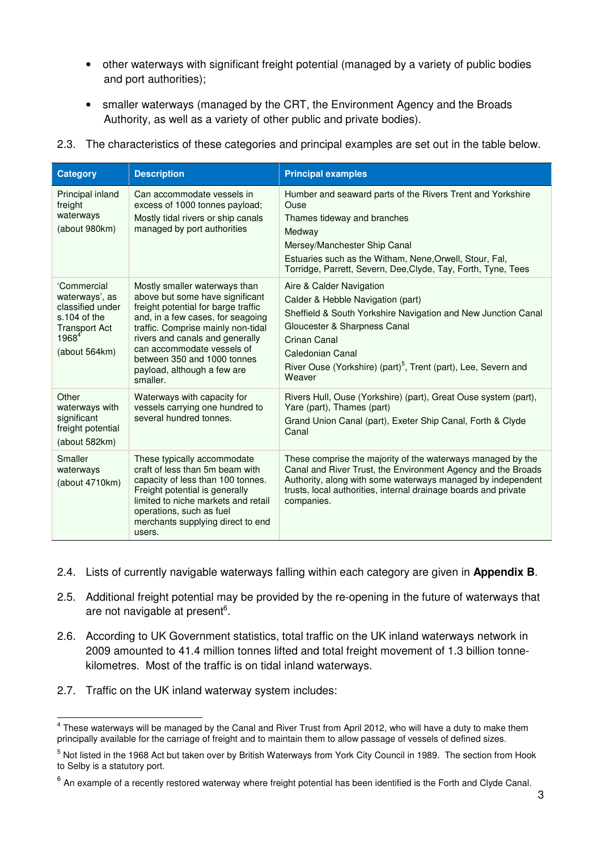- other waterways with significant freight potential (managed by a variety of public bodies and port authorities);
- smaller waterways (managed by the CRT, the Environment Agency and the Broads Authority, as well as a variety of other public and private bodies).
- 2.3. The characteristics of these categories and principal examples are set out in the table below.

| <b>Category</b>                                                                                                                 | <b>Description</b>                                                                                                                                                                                                                                                                                                            | <b>Principal examples</b>                                                                                                                                                                                                                                                                  |
|---------------------------------------------------------------------------------------------------------------------------------|-------------------------------------------------------------------------------------------------------------------------------------------------------------------------------------------------------------------------------------------------------------------------------------------------------------------------------|--------------------------------------------------------------------------------------------------------------------------------------------------------------------------------------------------------------------------------------------------------------------------------------------|
| Principal inland<br>freight<br>waterways<br>(about 980km)                                                                       | Can accommodate vessels in<br>excess of 1000 tonnes payload;<br>Mostly tidal rivers or ship canals<br>managed by port authorities                                                                                                                                                                                             | Humber and seaward parts of the Rivers Trent and Yorkshire<br>Ouse<br>Thames tideway and branches<br>Medway<br>Mersey/Manchester Ship Canal<br>Estuaries such as the Witham, Nene, Orwell, Stour, Fal,<br>Torridge, Parrett, Severn, Dee, Clyde, Tay, Forth, Tyne, Tees                    |
| 'Commercial<br>waterways', as<br>classified under<br>s.104 of the<br><b>Transport Act</b><br>1968 <sup>4</sup><br>(about 564km) | Mostly smaller waterways than<br>above but some have significant<br>freight potential for barge traffic<br>and, in a few cases, for seagoing<br>traffic. Comprise mainly non-tidal<br>rivers and canals and generally<br>can accommodate vessels of<br>between 350 and 1000 tonnes<br>payload, although a few are<br>smaller. | Aire & Calder Navigation<br>Calder & Hebble Navigation (part)<br>Sheffield & South Yorkshire Navigation and New Junction Canal<br>Gloucester & Sharpness Canal<br>Crinan Canal<br>Caledonian Canal<br>River Ouse (Yorkshire) (part) <sup>5</sup> , Trent (part), Lee, Severn and<br>Weaver |
| Other<br>waterways with<br>significant<br>freight potential<br>(about 582km)                                                    | Waterways with capacity for<br>vessels carrying one hundred to<br>several hundred tonnes.                                                                                                                                                                                                                                     | Rivers Hull, Ouse (Yorkshire) (part), Great Ouse system (part),<br>Yare (part), Thames (part)<br>Grand Union Canal (part), Exeter Ship Canal, Forth & Clyde<br>Canal                                                                                                                       |
| Smaller<br>waterways<br>(about 4710km)                                                                                          | These typically accommodate<br>craft of less than 5m beam with<br>capacity of less than 100 tonnes.<br>Freight potential is generally<br>limited to niche markets and retail<br>operations, such as fuel<br>merchants supplying direct to end<br>users.                                                                       | These comprise the majority of the waterways managed by the<br>Canal and River Trust, the Environment Agency and the Broads<br>Authority, along with some waterways managed by independent<br>trusts, local authorities, internal drainage boards and private<br>companies.                |

- 2.4. Lists of currently navigable waterways falling within each category are given in **Appendix B**.
- 2.5. Additional freight potential may be provided by the re-opening in the future of waterways that are not navigable at present<sup>6</sup>.
- 2.6. According to UK Government statistics, total traffic on the UK inland waterways network in 2009 amounted to 41.4 million tonnes lifted and total freight movement of 1.3 billion tonnekilometres. Most of the traffic is on tidal inland waterways.
- 2.7. Traffic on the UK inland waterway system includes:

 4 These waterways will be managed by the Canal and River Trust from April 2012, who will have a duty to make them principally available for the carriage of freight and to maintain them to allow passage of vessels of defined sizes.

<sup>&</sup>lt;sup>5</sup> Not listed in the 1968 Act but taken over by British Waterways from York City Council in 1989. The section from Hook to Selby is a statutory port.

 $^6$  An example of a recently restored waterway where freight potential has been identified is the Forth and Clyde Canal.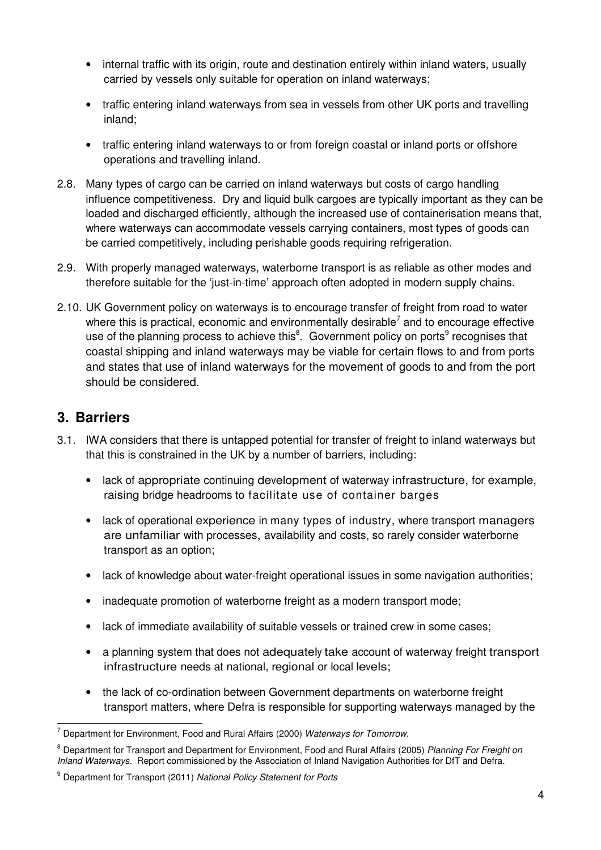- internal traffic with its origin, route and destination entirely within inland waters, usually carried by vessels only suitable for operation on inland waterways;
- traffic entering inland waterways from sea in vessels from other UK ports and travelling inland;
- traffic entering inland waterways to or from foreign coastal or inland ports or offshore operations and travelling inland.
- 2.8. Many types of cargo can be carried on inland waterways but costs of cargo handling influence competitiveness. Dry and liquid bulk cargoes are typically important as they can be loaded and discharged efficiently, although the increased use of containerisation means that, where waterways can accommodate vessels carrying containers, most types of goods can be carried competitively, including perishable goods requiring refrigeration.
- 2.9. With properly managed waterways, waterborne transport is as reliable as other modes and therefore suitable for the 'just-in-time' approach often adopted in modern supply chains.
- 2.10. UK Government policy on waterways is to encourage transfer of freight from road to water where this is practical, economic and environmentally desirable<sup>7</sup> and to encourage effective use of the planning process to achieve this ${}^{8}$ . Government policy on ports ${}^{9}$  recognises that coastal shipping and inland waterways may be viable for certain flows to and from ports and states that use of inland waterways for the movement of goods to and from the port should be considered.

## **3. Barriers**

- 3.1. IWA considers that there is untapped potential for transfer of freight to inland waterways but that this is constrained in the UK by a number of barriers, including:
	- lack of appropriate continuing development of waterway infrastructure, for example, raising bridge headrooms to facilitate use of container barges
	- lack of operational experience in many types of industry, where transport managers are unfamiliar with processes, availability and costs, so rarely consider waterborne transport as an option;
	- lack of knowledge about water-freight operational issues in some navigation authorities;
	- inadequate promotion of waterborne freight as a modern transport mode;
	- lack of immediate availability of suitable vessels or trained crew in some cases;
	- a planning system that does not adequately take account of waterway freight transport infrastructure needs at national, regional or local levels;
	- the lack of co-ordination between Government departments on waterborne freight transport matters, where Defra is responsible for supporting waterways managed by the

 $\overline{a}$ 7 Department for Environment, Food and Rural Affairs (2000) Waterways for Tomorrow.

<sup>&</sup>lt;sup>8</sup> Department for Transport and Department for Environment, Food and Rural Affairs (2005) Planning For Freight on Inland Waterways. Report commissioned by the Association of Inland Navigation Authorities for DfT and Defra.

<sup>&</sup>lt;sup>9</sup> Department for Transport (2011) National Policy Statement for Ports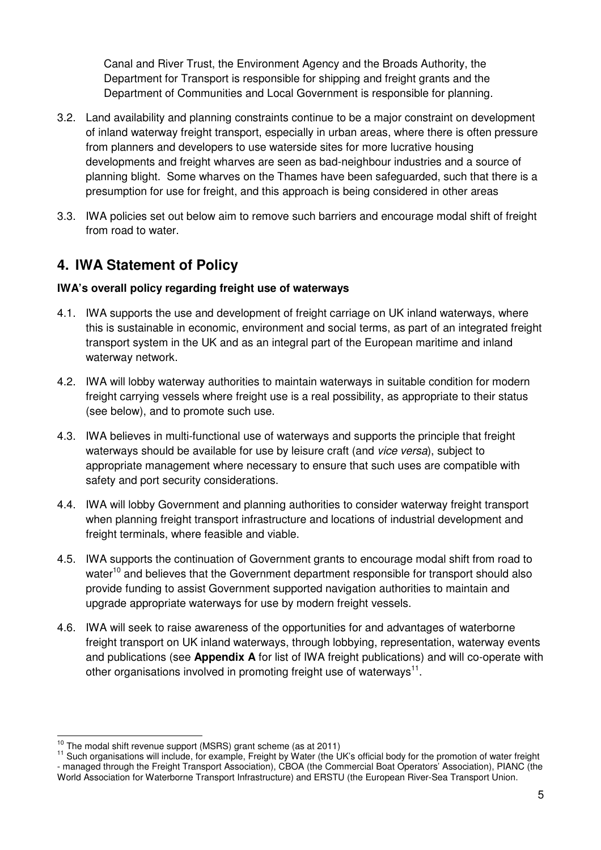Canal and River Trust, the Environment Agency and the Broads Authority, the Department for Transport is responsible for shipping and freight grants and the Department of Communities and Local Government is responsible for planning.

- 3.2. Land availability and planning constraints continue to be a major constraint on development of inland waterway freight transport, especially in urban areas, where there is often pressure from planners and developers to use waterside sites for more lucrative housing developments and freight wharves are seen as bad-neighbour industries and a source of planning blight. Some wharves on the Thames have been safeguarded, such that there is a presumption for use for freight, and this approach is being considered in other areas
- 3.3. IWA policies set out below aim to remove such barriers and encourage modal shift of freight from road to water.

## **4. IWA Statement of Policy**

## **IWA's overall policy regarding freight use of waterways**

- 4.1. IWA supports the use and development of freight carriage on UK inland waterways, where this is sustainable in economic, environment and social terms, as part of an integrated freight transport system in the UK and as an integral part of the European maritime and inland waterway network.
- 4.2. IWA will lobby waterway authorities to maintain waterways in suitable condition for modern freight carrying vessels where freight use is a real possibility, as appropriate to their status (see below), and to promote such use.
- 4.3. IWA believes in multi-functional use of waterways and supports the principle that freight waterways should be available for use by leisure craft (and vice versa), subject to appropriate management where necessary to ensure that such uses are compatible with safety and port security considerations.
- 4.4. IWA will lobby Government and planning authorities to consider waterway freight transport when planning freight transport infrastructure and locations of industrial development and freight terminals, where feasible and viable.
- 4.5. IWA supports the continuation of Government grants to encourage modal shift from road to water<sup>10</sup> and believes that the Government department responsible for transport should also provide funding to assist Government supported navigation authorities to maintain and upgrade appropriate waterways for use by modern freight vessels.
- 4.6. IWA will seek to raise awareness of the opportunities for and advantages of waterborne freight transport on UK inland waterways, through lobbying, representation, waterway events and publications (see **Appendix A** for list of IWA freight publications) and will co-operate with other organisations involved in promoting freight use of waterways $^{11}$ .

 $\overline{a}$  $^{10}$  The modal shift revenue support (MSRS) grant scheme (as at 2011)

<sup>&</sup>lt;sup>11</sup> Such organisations will include, for example, Freight by Water (the UK's official body for the promotion of water freight - managed through the Freight Transport Association), CBOA (the Commercial Boat Operators' Association), PIANC (the World Association for Waterborne Transport Infrastructure) and ERSTU (the European River-Sea Transport Union.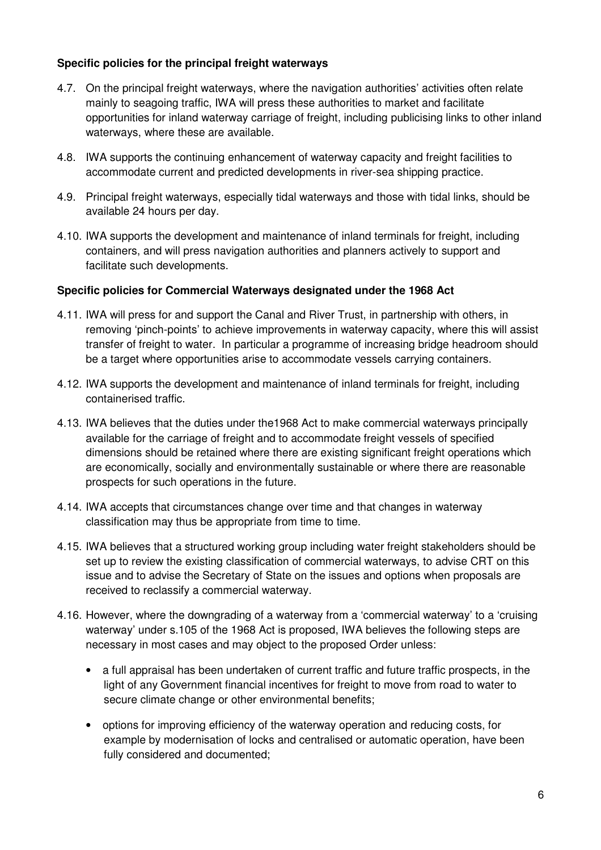### **Specific policies for the principal freight waterways**

- 4.7. On the principal freight waterways, where the navigation authorities' activities often relate mainly to seagoing traffic, IWA will press these authorities to market and facilitate opportunities for inland waterway carriage of freight, including publicising links to other inland waterways, where these are available.
- 4.8. IWA supports the continuing enhancement of waterway capacity and freight facilities to accommodate current and predicted developments in river-sea shipping practice.
- 4.9. Principal freight waterways, especially tidal waterways and those with tidal links, should be available 24 hours per day.
- 4.10. IWA supports the development and maintenance of inland terminals for freight, including containers, and will press navigation authorities and planners actively to support and facilitate such developments.

#### **Specific policies for Commercial Waterways designated under the 1968 Act**

- 4.11. IWA will press for and support the Canal and River Trust, in partnership with others, in removing 'pinch-points' to achieve improvements in waterway capacity, where this will assist transfer of freight to water. In particular a programme of increasing bridge headroom should be a target where opportunities arise to accommodate vessels carrying containers.
- 4.12. IWA supports the development and maintenance of inland terminals for freight, including containerised traffic.
- 4.13. IWA believes that the duties under the1968 Act to make commercial waterways principally available for the carriage of freight and to accommodate freight vessels of specified dimensions should be retained where there are existing significant freight operations which are economically, socially and environmentally sustainable or where there are reasonable prospects for such operations in the future.
- 4.14. IWA accepts that circumstances change over time and that changes in waterway classification may thus be appropriate from time to time.
- 4.15. IWA believes that a structured working group including water freight stakeholders should be set up to review the existing classification of commercial waterways, to advise CRT on this issue and to advise the Secretary of State on the issues and options when proposals are received to reclassify a commercial waterway.
- 4.16. However, where the downgrading of a waterway from a 'commercial waterway' to a 'cruising waterway' under s.105 of the 1968 Act is proposed, IWA believes the following steps are necessary in most cases and may object to the proposed Order unless:
	- a full appraisal has been undertaken of current traffic and future traffic prospects, in the light of any Government financial incentives for freight to move from road to water to secure climate change or other environmental benefits;
	- options for improving efficiency of the waterway operation and reducing costs, for example by modernisation of locks and centralised or automatic operation, have been fully considered and documented;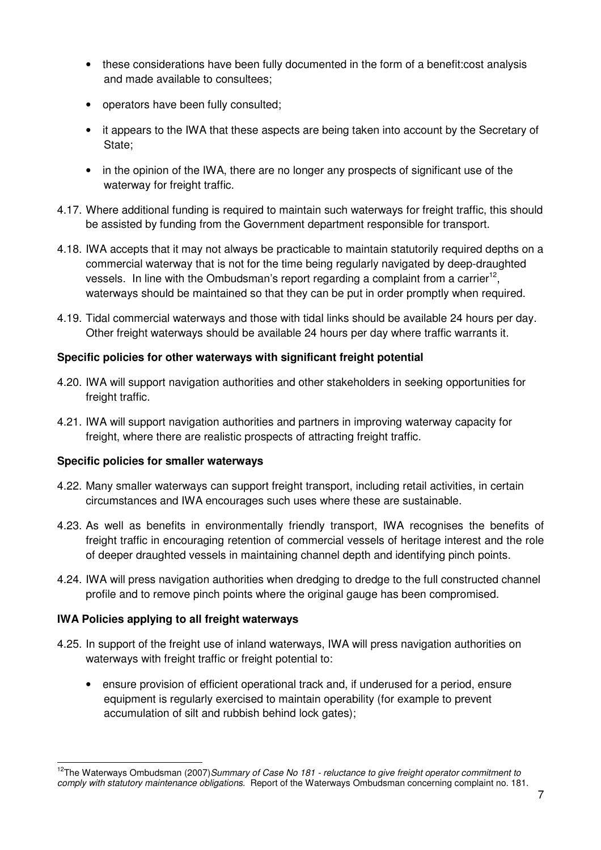- these considerations have been fully documented in the form of a benefit: cost analysis and made available to consultees;
- operators have been fully consulted;
- it appears to the IWA that these aspects are being taken into account by the Secretary of State;
- in the opinion of the IWA, there are no longer any prospects of significant use of the waterway for freight traffic.
- 4.17. Where additional funding is required to maintain such waterways for freight traffic, this should be assisted by funding from the Government department responsible for transport.
- 4.18. IWA accepts that it may not always be practicable to maintain statutorily required depths on a commercial waterway that is not for the time being regularly navigated by deep-draughted vessels. In line with the Ombudsman's report regarding a complaint from a carrier<sup>12</sup>, waterways should be maintained so that they can be put in order promptly when required.
- 4.19. Tidal commercial waterways and those with tidal links should be available 24 hours per day. Other freight waterways should be available 24 hours per day where traffic warrants it.

## **Specific policies for other waterways with significant freight potential**

- 4.20. IWA will support navigation authorities and other stakeholders in seeking opportunities for freight traffic.
- 4.21. IWA will support navigation authorities and partners in improving waterway capacity for freight, where there are realistic prospects of attracting freight traffic.

## **Specific policies for smaller waterways**

- 4.22. Many smaller waterways can support freight transport, including retail activities, in certain circumstances and IWA encourages such uses where these are sustainable.
- 4.23. As well as benefits in environmentally friendly transport, IWA recognises the benefits of freight traffic in encouraging retention of commercial vessels of heritage interest and the role of deeper draughted vessels in maintaining channel depth and identifying pinch points.
- 4.24. IWA will press navigation authorities when dredging to dredge to the full constructed channel profile and to remove pinch points where the original gauge has been compromised.

## **IWA Policies applying to all freight waterways**

- 4.25. In support of the freight use of inland waterways, IWA will press navigation authorities on waterways with freight traffic or freight potential to:
	- ensure provision of efficient operational track and, if underused for a period, ensure equipment is regularly exercised to maintain operability (for example to prevent accumulation of silt and rubbish behind lock gates);

 $\overline{a}$ <sup>12</sup>The Waterways Ombudsman (2007)Summary of Case No 181 - reluctance to give freight operator commitment to comply with statutory maintenance obligations. Report of the Waterways Ombudsman concerning complaint no. 181.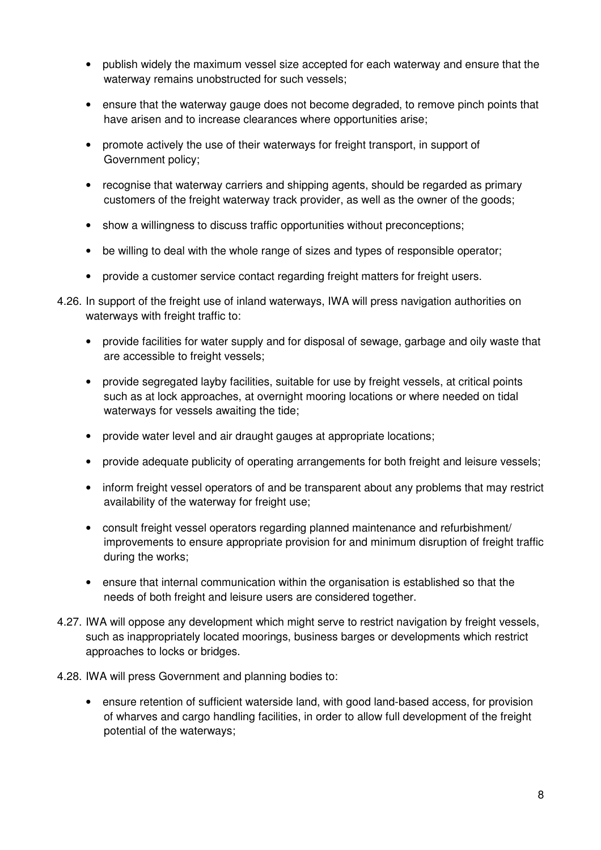- publish widely the maximum vessel size accepted for each waterway and ensure that the waterway remains unobstructed for such vessels;
- ensure that the waterway gauge does not become degraded, to remove pinch points that have arisen and to increase clearances where opportunities arise;
- promote actively the use of their waterways for freight transport, in support of Government policy;
- recognise that waterway carriers and shipping agents, should be regarded as primary customers of the freight waterway track provider, as well as the owner of the goods;
- show a willingness to discuss traffic opportunities without preconceptions;
- be willing to deal with the whole range of sizes and types of responsible operator;
- provide a customer service contact regarding freight matters for freight users.
- 4.26. In support of the freight use of inland waterways, IWA will press navigation authorities on waterways with freight traffic to:
	- provide facilities for water supply and for disposal of sewage, garbage and oily waste that are accessible to freight vessels;
	- provide segregated layby facilities, suitable for use by freight vessels, at critical points such as at lock approaches, at overnight mooring locations or where needed on tidal waterways for vessels awaiting the tide;
	- provide water level and air draught gauges at appropriate locations;
	- provide adequate publicity of operating arrangements for both freight and leisure vessels;
	- inform freight vessel operators of and be transparent about any problems that may restrict availability of the waterway for freight use;
	- consult freight vessel operators regarding planned maintenance and refurbishment/ improvements to ensure appropriate provision for and minimum disruption of freight traffic during the works;
	- ensure that internal communication within the organisation is established so that the needs of both freight and leisure users are considered together.
- 4.27. IWA will oppose any development which might serve to restrict navigation by freight vessels, such as inappropriately located moorings, business barges or developments which restrict approaches to locks or bridges.
- 4.28. IWA will press Government and planning bodies to:
	- ensure retention of sufficient waterside land, with good land-based access, for provision of wharves and cargo handling facilities, in order to allow full development of the freight potential of the waterways;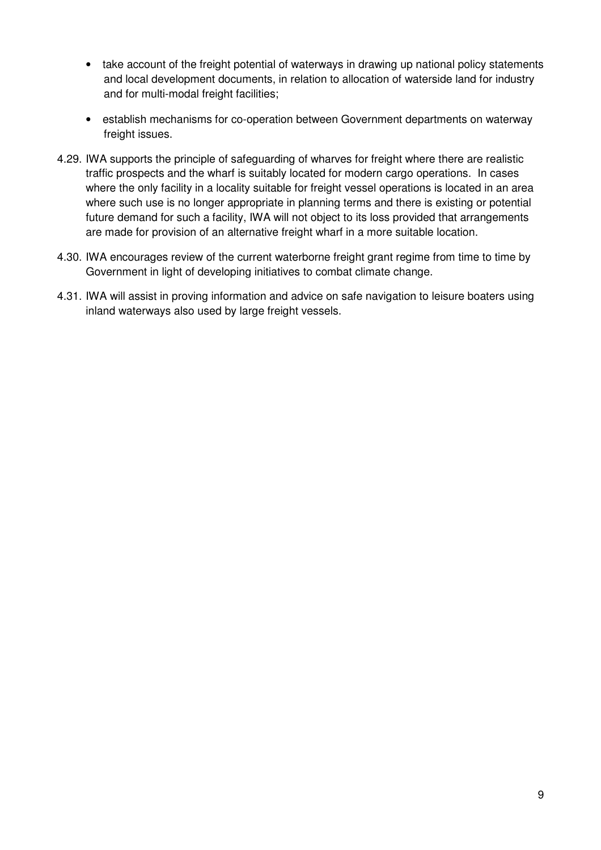- take account of the freight potential of waterways in drawing up national policy statements and local development documents, in relation to allocation of waterside land for industry and for multi-modal freight facilities;
- establish mechanisms for co-operation between Government departments on waterway freight issues.
- 4.29. IWA supports the principle of safeguarding of wharves for freight where there are realistic traffic prospects and the wharf is suitably located for modern cargo operations. In cases where the only facility in a locality suitable for freight vessel operations is located in an area where such use is no longer appropriate in planning terms and there is existing or potential future demand for such a facility, IWA will not object to its loss provided that arrangements are made for provision of an alternative freight wharf in a more suitable location.
- 4.30. IWA encourages review of the current waterborne freight grant regime from time to time by Government in light of developing initiatives to combat climate change.
- 4.31. IWA will assist in proving information and advice on safe navigation to leisure boaters using inland waterways also used by large freight vessels.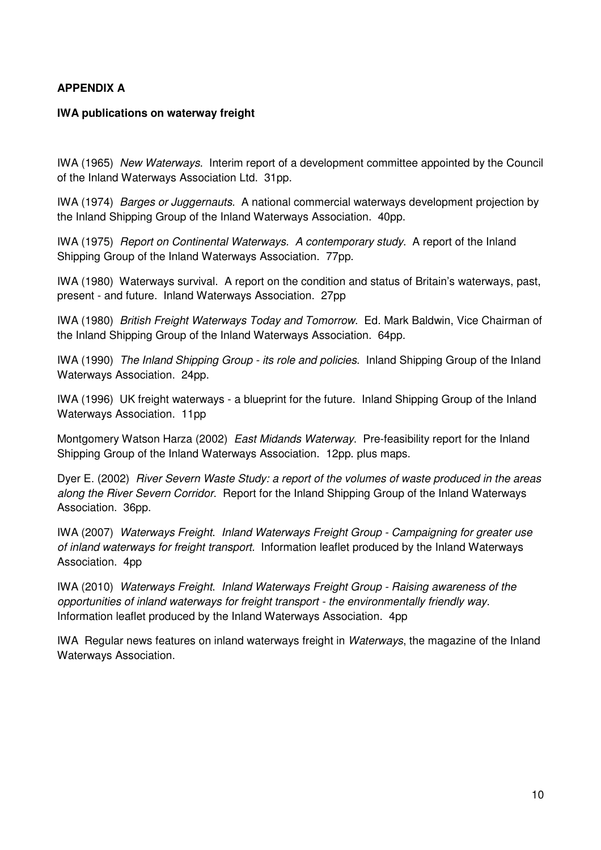#### **APPENDIX A**

#### **IWA publications on waterway freight**

IWA (1965) New Waterways. Interim report of a development committee appointed by the Council of the Inland Waterways Association Ltd. 31pp.

IWA (1974) Barges or Juggernauts. A national commercial waterways development projection by the Inland Shipping Group of the Inland Waterways Association. 40pp.

IWA (1975) Report on Continental Waterways. A contemporary study. A report of the Inland Shipping Group of the Inland Waterways Association. 77pp.

IWA (1980) Waterways survival. A report on the condition and status of Britain's waterways, past, present - and future. Inland Waterways Association. 27pp

IWA (1980) British Freight Waterways Today and Tomorrow. Ed. Mark Baldwin, Vice Chairman of the Inland Shipping Group of the Inland Waterways Association. 64pp.

IWA (1990) The Inland Shipping Group - its role and policies. Inland Shipping Group of the Inland Waterways Association. 24pp.

IWA (1996) UK freight waterways - a blueprint for the future. Inland Shipping Group of the Inland Waterways Association. 11pp

Montgomery Watson Harza (2002) East Midands Waterway. Pre-feasibility report for the Inland Shipping Group of the Inland Waterways Association. 12pp. plus maps.

Dyer E. (2002) River Severn Waste Study: a report of the volumes of waste produced in the areas along the River Severn Corridor. Report for the Inland Shipping Group of the Inland Waterways Association. 36pp.

IWA (2007) Waterways Freight. Inland Waterways Freight Group - Campaigning for greater use of inland waterways for freight transport. Information leaflet produced by the Inland Waterways Association. 4pp

IWA (2010) Waterways Freight. Inland Waterways Freight Group - Raising awareness of the opportunities of inland waterways for freight transport - the environmentally friendly way. Information leaflet produced by the Inland Waterways Association. 4pp

IWA Regular news features on inland waterways freight in Waterways, the magazine of the Inland Waterways Association.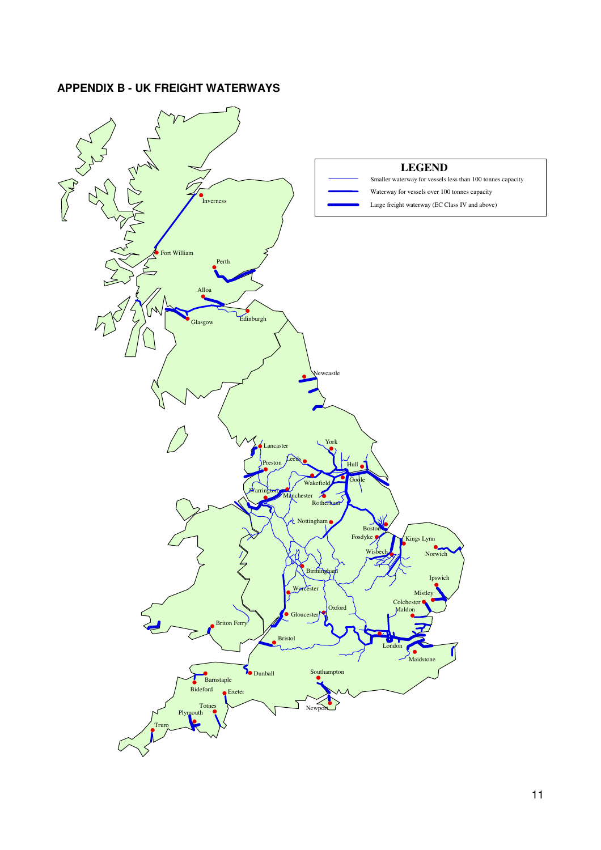## **APPENDIX B - UK FREIGHT WATERWAYS**

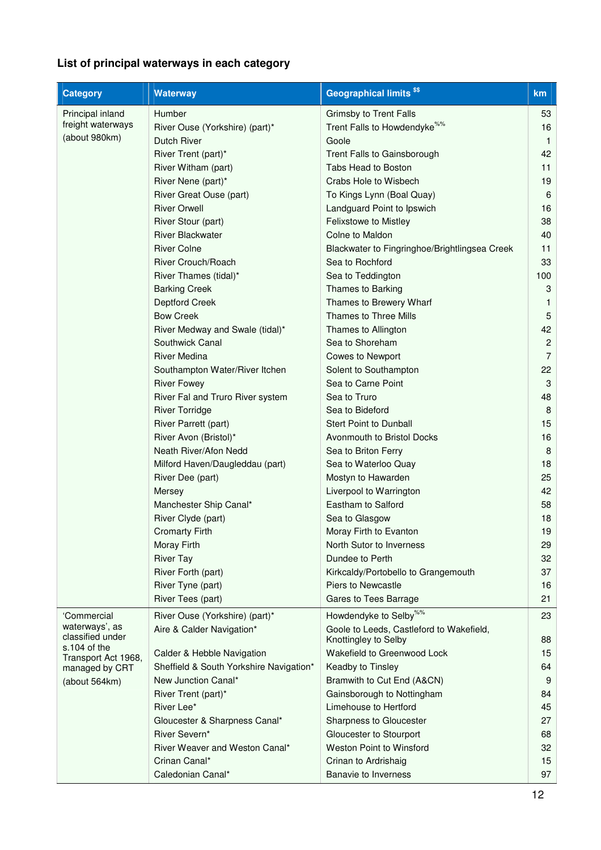# **List of principal waterways in each category**

| <b>Geographical limits<sup>\$\$</sup></b><br><b>Category</b><br><b>Waterway</b>                                                     | km             |
|-------------------------------------------------------------------------------------------------------------------------------------|----------------|
| <b>Humber</b><br>Principal inland<br><b>Grimsby to Trent Falls</b>                                                                  | 53             |
| freight waterways<br>Trent Falls to Howdendyke <sup>%%</sup><br>River Ouse (Yorkshire) (part)*                                      | 16             |
| (about 980km)<br>Dutch River<br>Goole                                                                                               | $\mathbf{1}$   |
| River Trent (part)*<br>Trent Falls to Gainsborough                                                                                  | 42             |
| Tabs Head to Boston<br>River Witham (part)                                                                                          | 11             |
| River Nene (part)*<br>Crabs Hole to Wisbech                                                                                         | 19             |
| River Great Ouse (part)<br>To Kings Lynn (Boal Quay)                                                                                | 6              |
| <b>River Orwell</b><br>Landguard Point to Ipswich                                                                                   | 16             |
| Felixstowe to Mistley<br>River Stour (part)                                                                                         | 38             |
| <b>River Blackwater</b><br>Colne to Maldon                                                                                          | 40             |
| <b>River Colne</b><br>Blackwater to Fingringhoe/Brightlingsea Creek                                                                 | 11             |
| River Crouch/Roach<br>Sea to Rochford                                                                                               | 33             |
| River Thames (tidal)*<br>Sea to Teddington                                                                                          | 100            |
| <b>Barking Creek</b><br>Thames to Barking                                                                                           | 3              |
| Deptford Creek<br>Thames to Brewery Wharf                                                                                           | 1              |
| <b>Bow Creek</b><br>Thames to Three Mills                                                                                           | 5              |
| River Medway and Swale (tidal)*<br>Thames to Allington                                                                              | 42             |
| Sea to Shoreham<br>Southwick Canal                                                                                                  | $\overline{2}$ |
| <b>River Medina</b><br><b>Cowes to Newport</b>                                                                                      | 7              |
| Southampton Water/River Itchen<br>Solent to Southampton                                                                             | 22             |
| Sea to Carne Point<br><b>River Fowey</b>                                                                                            | 3              |
| Sea to Truro<br>River Fal and Truro River system                                                                                    | 48             |
| Sea to Bideford<br><b>River Torridge</b>                                                                                            | 8              |
| <b>Stert Point to Dunball</b><br>River Parrett (part)                                                                               | 15             |
| River Avon (Bristol)*<br>Avonmouth to Bristol Docks                                                                                 | 16             |
| Neath River/Afon Nedd<br>Sea to Briton Ferry                                                                                        | 8              |
| Milford Haven/Daugleddau (part)<br>Sea to Waterloo Quay                                                                             | 18             |
| River Dee (part)<br>Mostyn to Hawarden                                                                                              | 25             |
| Liverpool to Warrington<br>Mersey                                                                                                   | 42             |
| Eastham to Salford<br>Manchester Ship Canal*                                                                                        | 58             |
| River Clyde (part)<br>Sea to Glasgow                                                                                                | 18             |
| <b>Cromarty Firth</b>                                                                                                               | 19             |
| Moray Firth to Evanton<br>Moray Firth<br>North Sutor to Inverness                                                                   | 29             |
| Dundee to Perth                                                                                                                     | 32             |
| <b>River Tay</b><br>River Forth (part)<br>Kirkcaldy/Portobello to Grangemouth                                                       | 37             |
| Piers to Newcastle                                                                                                                  |                |
| River Tyne (part)                                                                                                                   | 16             |
| Gares to Tees Barrage<br>River Tees (part)                                                                                          | 21             |
| Howdendyke to Selby <sup>%%</sup><br>'Commercial<br>River Ouse (Yorkshire) (part)*                                                  | 23             |
| waterways', as<br>Aire & Calder Navigation*<br>Goole to Leeds, Castleford to Wakefield,<br>classified under<br>Knottingley to Selby | 88             |
| s.104 of the<br>Wakefield to Greenwood Lock<br>Calder & Hebble Navigation<br>Transport Act 1968,                                    | 15             |
| Sheffield & South Yorkshire Navigation*<br>Keadby to Tinsley<br>managed by CRT                                                      | 64             |
| New Junction Canal*<br>Bramwith to Cut End (A&CN)<br>(about 564km)                                                                  | 9              |
| River Trent (part)*<br>Gainsborough to Nottingham                                                                                   | 84             |
| River Lee*<br>Limehouse to Hertford                                                                                                 | 45             |
| Gloucester & Sharpness Canal*<br>Sharpness to Gloucester                                                                            | 27             |
| River Severn*<br>Gloucester to Stourport                                                                                            | 68             |
| River Weaver and Weston Canal*<br><b>Weston Point to Winsford</b>                                                                   | 32             |
| Crinan Canal*<br>Crinan to Ardrishaig                                                                                               | 15             |
| Caledonian Canal*<br>Banavie to Inverness                                                                                           | 97             |